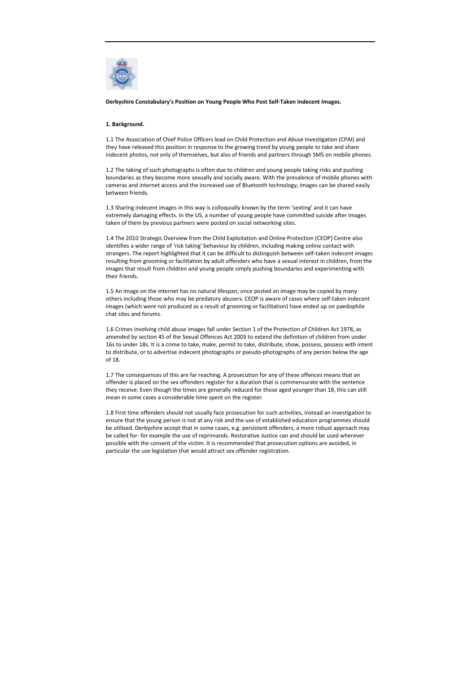

Derbyshire Constabulary's Position on Young People Who Post Self-Taken Indecent Images.

## 1. Background.

1.1 The Association of Chief Police Officers lead on Child Protection and Abuse Investigation (CPAI) and they have released this position in response to the growing trend by young people to take and share indecent photos, not only of themselves, but also of friends and partners through SMS on mobile phones.

1.2 The taking of such photographs is often due to children and young people taking risks and pushing boundaries as they become more sexually and socially aware. With the prevalence of mobile phones with cameras and internet access and the increased use of Bluetooth technology, images can be shared easily between friends.

1.3 Sharing indecent images in this way is colloquially known by the term 'sexting' and it can have extremely damaging effects. In the US, a number of young people have committed suicide after images taken of them by previous partners were posted on social networking sites.

1.4 The 2010 Strategic Overview from the Child Exploitation and Online Protection (CEOP) Centre also identifies a wider range of 'risk taking' behaviour by children, including making online contact with strangers. The report highlighted that it can be difficult to distinguish between self-taken indecent images resulting from grooming or facilitation by adult offenders who have a sexual interest in children, from the images that result from children and young people simply pushing boundaries and experimenting with their friends.

1.5 An image on the internet has no natural lifespan; once posted an image may be copied by many others including those who may be predatory abusers. CEOP is aware of cases where self-taken indecent images (which were not produced as a result of grooming or facilitation) have ended up on paedophile chat sites and forums.

1.6 Crimes involving child abuse images fall under Section 1 of the Protection of Children Act 1978, as amended by section 45 of the Sexual Offences Act 2003 to extend the definition of children from under 16s to under 18s. It is a crime to take, make, permit to take, distribute, show, possess, possess with intent to distribute, or to advertise indecent photographs or pseudo-photographs of any person below the age of 18.

1.7 The consequences of this are far reaching. A prosecution for any of these offences means that an offender is placed on the sex offenders register for a duration that is commensurate with the sentence they receive. Even though the times are generally reduced for those aged younger than 18, this can still mean in some cases a considerable time spent on the register.

1.8 First time offenders should not usually face prosecution for such activities, instead an investigation to ensure that the young person is not at any risk and the use of established education programmes should be utilised. Derbyshire accept that in some cases, e.g. persistent offenders, a more robust approach may be called for- for example the use of reprimands. Restorative Justice can and should be used wherever possible with the consent of the victim. It is recommended that prosecution options are avoided, in particular the use legislation that would attract sex offender registration.